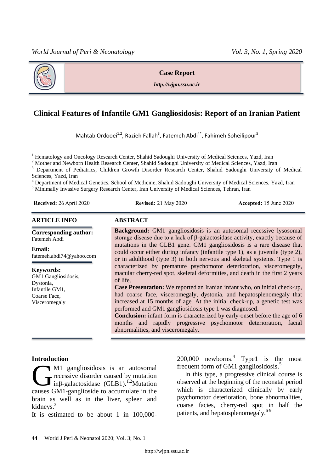

**Case Report**

*http://wjpn.ssu.ac.ir*

# **Clinical Features of Infantile GM1 Gangliosidosis: Report of an Iranian Patient**

Mahtab Ordooei<sup>1,2</sup>, Razieh Fallah<sup>3</sup>, Fatemeh Abdi<sup>4\*</sup>, Fahimeh Soheilipour<sup>5</sup>

<sup>1</sup> Hematology and Oncology Research Center, Shahid Sadoughi University of Medical Sciences, Yazd, Iran

<sup>2</sup> Mother and Newborn Health Research Center, Shahid Sadoughi University of Medical Sciences, Yazd, Iran

<sup>3</sup> Department of Pediatrics, Children Growth Disorder Research Center, Shahid Sadoughi University of Medical Sciences, Yazd, Iran

<sup>4</sup> Department of Medical Genetics, School of Medicine, Shahid Sadoughi University of Medical Sciences, Yazd, Iran

<sup>5</sup> Minimally Invasive Surgery Research Center, Iran University of Medical Sciences, Tehran, Iran

**Received:** 26 April 2020 **Revised:** 21 May 2020 **Accepted:** 15 June 2020

#### **ARTICLE INFO ABSTRACT**

**Corresponding author:** Fatemeh Abdi

**Email:**  fatemeh.abdi74@yahoo.com

**Keywords:**  GM1 Gangliosidosis, Dystonia, Infantile GM1, Coarse Face, Visceromegaly

**Background:** GM1 gangliosidosis is an autosomal recessive lysosomal storage disease due to a lack of β-galactosidase activity, exactly because of mutations in the GLB1 gene. GM1 gangliosidosis is a rare disease that could occur either during infancy (infantile type 1), as a juvenile (type 2), or in adulthood (type 3) in both nervous and skeletal systems. Type 1 is characterized by premature psychomotor deterioration, visceromegaly, macular cherry-red spot, skeletal deformities, and death in the first 2 years of life.

**Case Presentation:** We reported an Iranian infant who, on initial check-up, had coarse face, visceromegaly, dystonia, and hepatosplenomegaly that increased at 15 months of age. At the initial check-up, a genetic test was performed and GM1 gangliosidosis type 1 was diagnosed.

**Conclusion:** infant form is characterized by early-onset before the age of 6 months and rapidly progressive psychomotor deterioration, facial abnormalities, and visceromegaly.

#### **Introduction**

M1 gangliosidosis is an autosomal **T**recessive disorder caused by mutation inβ-galactosidase (GLB1).<sup>1,2</sup>Mutation M1 gangliosidosis is an autosomal<br>inß-galactosidase (GLB1).<sup>1,2</sup>Mutation<br>causes GM1-ganglioside to accumulate in the brain as well as in the liver, spleen and kidneys. 3

It is estimated to be about 1 in 100,000-

200,000 newborns. 4 Type1 is the most frequent form of GM1 gangliosidosis. 5

In this type, a progressive clinical course is observed at the beginning of the neonatal period which is characterized clinically by early psychomotor deterioration, bone abnormalities, coarse facies, cherry-red spot in half the patients, and hepatosplenomegaly.<sup>6-9</sup>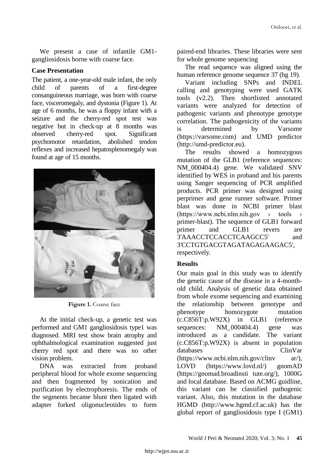We present a case of infantile GM1 gangliosidosis borne with coarse face.

#### **Case Presentation**

The patient, a one-year-old male infant, the only child of parents of a first-degree consanguineous marriage, was born with coarse face, visceromegaly, and dystonia (Figure 1). At age of 6 months, he was a floppy infant with a seizure and the cherry-red spot test was negative but in check-up at 8 months was observed cherry-red spot. Significant psychomotor retardation, abolished tendon reflexes and increased hepatosplenomegaly was found at age of 15 months.



Figure 1. Coarse face

At the initial check-up, a genetic test was performed and GM1 gangliosidosis type1 was diagnosed. MRI test show brain atrophy and ophthalmological examination suggested just cherry red spot and there was no other vision problem.

DNA was extracted from proband peripheral blood for whole exome sequencing and then fragmented by sonication and purification by electrophoresis. The ends of the segments became blunt then ligated with adapter forked oligonucleotides to form

paired-end libraries. These libraries were sent for whole genome sequencing

The read sequence was aligned using the human reference genome sequence 37 (hg 19).

Variant including SNPs and INDEL calling and genotyping were used GATK tools (v2.2). Then shortlisted annotated variants were analyzed for detection of pathogenic variants and phenotype genotype correlation. The pathogenicity of the variants is determined by Varsome (https://varsome.com) and UMD predictor (http://umd-predictor.eu).

The results showed a homozygous mutation of the GLB1 (reference sequences: NM\_000404.4) gene. We validated SNV identified by WES in proband and his parents using Sanger sequencing of PCR amplified products. PCR primer was designed using perprimer and gene runner software. Primer blast was done in NCBI primer blast  $(\text{https://www.ncbi.nlm.nih.gov})\rightarrow \text{tools}$ primer-blast). The sequence of GLB1 forward primer and GLB1 revers are 3'AAACCTCCACCTCAAGCC5' and 3'CCTGTGACGTAGATAGAGAAGAC5', respectively.

#### **Results**

Our main goal in this study was to identify the genetic cause of the disease in a 4-monthold child. Analysis of genetic data obtained from whole exome sequencing and examining the relationship between genotype and phenotype homozygote mutation (c.C856T:p.W92X) in GLB1 (reference sequences: NM\_000404.4) gene was introduced as a candidate. The variant (c.C856T:p.W92X) is absent in population databases ClinVar (https://www.ncbi.nlm.nih.gov/clinv ar/), LOVD (https://www.lovd.nl/) gnomAD (https://gnomad.broadinsti tute.org/), 1000G and local database. Based on ACMG guidline, this variant can be classified pathogenic variant. Also, this mutation in the database HGMD (http://www.hgmd.cf.ac.uk) has the global report of gangliosidosis type I (GM1)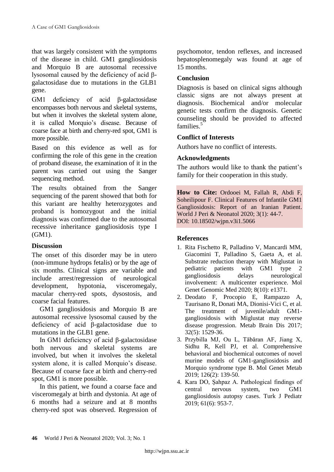that was largely consistent with the symptoms of the disease in child. GM1 gangliosidosis and Morquio B are autosomal recessive lysosomal caused by the deficiency of acid βgalactosidase due to mutations in the GLB1 gene.

GM1 deficiency of acid β-galactosidase encompasses both nervous and skeletal systems, but when it involves the skeletal system alone, it is called Morquio's disease. Because of coarse face at birth and cherry-red spot, GM1 is more possible.

Based on this evidence as well as for confirming the role of this gene in the creation of proband disease, the examination of it in the parent was carried out using the Sanger sequencing method.

The results obtained from the Sanger sequencing of the parent showed that both for this variant are healthy heterozygotes and proband is homozygout and the initial diagnosis was confirmed due to the autosomal recessive inheritance gangliosidosis type I (GM1).

#### **Discussion**

The onset of this disorder may be in utero (non-immune hydrops fetalis) or by the age of six months. Clinical signs are variable and include arrest/regression of neurological development, hypotonia, visceromegaly, macular cherry-red spots, dysostosis, and coarse facial features.

GM1 gangliosidosis and Morquio B are autosomal recessive lysosomal caused by the deficiency of acid β-galactosidase due to mutations in the GLB1 gene.

In GM1 deficiency of acid β-galactosidase both nervous and skeletal systems are involved, but when it involves the skeletal system alone, it is called Morquio's disease. Because of coarse face at birth and cherry-red spot, GM1 is more possible.

In this patient, we found a coarse face and visceromegaly at birth and dystonia. At age of 6 months had a seizure and at 8 months cherry-red spot was observed. Regression of psychomotor, tendon reflexes, and increased hepatosplenomegaly was found at age of 15 months.

## **Conclusion**

Diagnosis is based on clinical signs although classic signs are not always present at diagnosis. Biochemical and/or molecular genetic tests confirm the diagnosis. Genetic counseling should be provided to affected families. 5

## **Conflict of Interests**

Authors have no conflict of interests.

#### **Acknowledgments**

The authors would like to thank the patient's family for their cooperation in this study.

**How to Cite:** Ordooei M, Fallah R, Abdi F, Soheilipour F. Clinical Features of Infantile GM1 Gangliosidosis: Report of an Iranian Patient. World J Peri & Neonatol 2020; 3(1): 44-7. DOI: 10.18502/wjpn.v3i1.5066

#### **References**

- 1. Rita Fischetto R, Palladino V, Mancardi MM, Giacomini T, Palladino S, Gaeta A, et al. Substrate reduction therapy with Miglustat in pediatric patients with GM1 type 2 gangliosidosis delays neurological involvement: A multicenter experience. Mol Genet Genomic Med 2020; 8(10): e1371.
- 2. Deodato F, Procopio E, Rampazzo A, Taurisano R, Donati MA, Dionisi-Vici C, et al*.* The treatment of juvenile/adult GM1 gangliosidosis with Miglustat may reverse disease progression. Metab Brain Dis 2017; 32(5): 1529-36.
- 3. Przybilla MJ, Ou L, Tăbăran AF, Jiang X, Sidhu R, Kell PJ, et al. Comprehensive behavioral and biochemical outcomes of novel murine models of GM1-gangliosidosis and Morquio syndrome type B. Mol Genet Metab 2019; 126(2): 139-50.
- 4. Kara DO, Şahpaz A. Pathological findings of central nervous system, two GM1 gangliosidosis autopsy cases. Turk J Pediatr  $2019: 61(6): 953-7.$